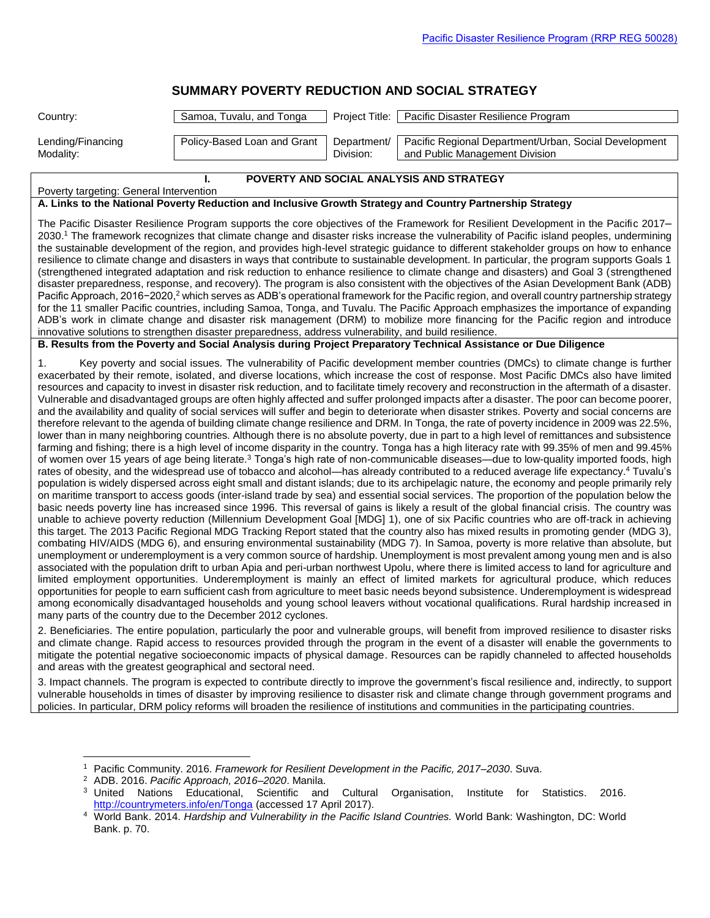# **[SUMMARY POVERTY REDUCTION AND SOCIAL STRATEGY](http://www.adb.org/Documents/RRPs/?id=50028-001-3)**

| Country:                                                                                                                                                                                                                                                                                                                                                                                                                                                                                                                                                                                                                                                                                                                                                                                                                                                                                                                                                                                                                                                                                                                                                                                                                                                                                                                                                                                                                                                                                                                                                                                                                                                                                                                                                                                                                                                                                                                                                                                                                                                                                                                                                                                                                                                                                                                                                                                                                                                                                                                                                                                                                                                                                                                                                                                                                                                                                                                                                                                                                                                                                                                                     | Samoa, Tuvalu, and Tonga                                                                                                                                                                                                                                                       | Project Title:           | Pacific Disaster Resilience Program                                                                                                                                                                                                                                                                                                                                                                                               |  |  |  |  |
|----------------------------------------------------------------------------------------------------------------------------------------------------------------------------------------------------------------------------------------------------------------------------------------------------------------------------------------------------------------------------------------------------------------------------------------------------------------------------------------------------------------------------------------------------------------------------------------------------------------------------------------------------------------------------------------------------------------------------------------------------------------------------------------------------------------------------------------------------------------------------------------------------------------------------------------------------------------------------------------------------------------------------------------------------------------------------------------------------------------------------------------------------------------------------------------------------------------------------------------------------------------------------------------------------------------------------------------------------------------------------------------------------------------------------------------------------------------------------------------------------------------------------------------------------------------------------------------------------------------------------------------------------------------------------------------------------------------------------------------------------------------------------------------------------------------------------------------------------------------------------------------------------------------------------------------------------------------------------------------------------------------------------------------------------------------------------------------------------------------------------------------------------------------------------------------------------------------------------------------------------------------------------------------------------------------------------------------------------------------------------------------------------------------------------------------------------------------------------------------------------------------------------------------------------------------------------------------------------------------------------------------------------------------------------------------------------------------------------------------------------------------------------------------------------------------------------------------------------------------------------------------------------------------------------------------------------------------------------------------------------------------------------------------------------------------------------------------------------------------------------------------------|--------------------------------------------------------------------------------------------------------------------------------------------------------------------------------------------------------------------------------------------------------------------------------|--------------------------|-----------------------------------------------------------------------------------------------------------------------------------------------------------------------------------------------------------------------------------------------------------------------------------------------------------------------------------------------------------------------------------------------------------------------------------|--|--|--|--|
| Lending/Financing<br>Modality:                                                                                                                                                                                                                                                                                                                                                                                                                                                                                                                                                                                                                                                                                                                                                                                                                                                                                                                                                                                                                                                                                                                                                                                                                                                                                                                                                                                                                                                                                                                                                                                                                                                                                                                                                                                                                                                                                                                                                                                                                                                                                                                                                                                                                                                                                                                                                                                                                                                                                                                                                                                                                                                                                                                                                                                                                                                                                                                                                                                                                                                                                                               | Policy-Based Loan and Grant                                                                                                                                                                                                                                                    | Department/<br>Division: | Pacific Regional Department/Urban, Social Development<br>and Public Management Division                                                                                                                                                                                                                                                                                                                                           |  |  |  |  |
| POVERTY AND SOCIAL ANALYSIS AND STRATEGY<br>ı.<br>Poverty targeting: General Intervention                                                                                                                                                                                                                                                                                                                                                                                                                                                                                                                                                                                                                                                                                                                                                                                                                                                                                                                                                                                                                                                                                                                                                                                                                                                                                                                                                                                                                                                                                                                                                                                                                                                                                                                                                                                                                                                                                                                                                                                                                                                                                                                                                                                                                                                                                                                                                                                                                                                                                                                                                                                                                                                                                                                                                                                                                                                                                                                                                                                                                                                    |                                                                                                                                                                                                                                                                                |                          |                                                                                                                                                                                                                                                                                                                                                                                                                                   |  |  |  |  |
|                                                                                                                                                                                                                                                                                                                                                                                                                                                                                                                                                                                                                                                                                                                                                                                                                                                                                                                                                                                                                                                                                                                                                                                                                                                                                                                                                                                                                                                                                                                                                                                                                                                                                                                                                                                                                                                                                                                                                                                                                                                                                                                                                                                                                                                                                                                                                                                                                                                                                                                                                                                                                                                                                                                                                                                                                                                                                                                                                                                                                                                                                                                                              |                                                                                                                                                                                                                                                                                |                          | A. Links to the National Poverty Reduction and Inclusive Growth Strategy and Country Partnership Strategy                                                                                                                                                                                                                                                                                                                         |  |  |  |  |
| The Pacific Disaster Resilience Program supports the core objectives of the Framework for Resilient Development in the Pacific 2017–<br>2030. <sup>1</sup> The framework recognizes that climate change and disaster risks increase the vulnerability of Pacific island peoples, undermining<br>the sustainable development of the region, and provides high-level strategic guidance to different stakeholder groups on how to enhance<br>resilience to climate change and disasters in ways that contribute to sustainable development. In particular, the program supports Goals 1<br>(strengthened integrated adaptation and risk reduction to enhance resilience to climate change and disasters) and Goal 3 (strengthened<br>disaster preparedness, response, and recovery). The program is also consistent with the objectives of the Asian Development Bank (ADB)<br>Pacific Approach, 2016-2020, <sup>2</sup> which serves as ADB's operational framework for the Pacific region, and overall country partnership strategy<br>for the 11 smaller Pacific countries, including Samoa, Tonga, and Tuvalu. The Pacific Approach emphasizes the importance of expanding<br>ADB's work in climate change and disaster risk management (DRM) to mobilize more financing for the Pacific region and introduce<br>innovative solutions to strengthen disaster preparedness, address vulnerability, and build resilience.                                                                                                                                                                                                                                                                                                                                                                                                                                                                                                                                                                                                                                                                                                                                                                                                                                                                                                                                                                                                                                                                                                                                                                                                                                                                                                                                                                                                                                                                                                                                                                                                                                                                                                                    |                                                                                                                                                                                                                                                                                |                          |                                                                                                                                                                                                                                                                                                                                                                                                                                   |  |  |  |  |
|                                                                                                                                                                                                                                                                                                                                                                                                                                                                                                                                                                                                                                                                                                                                                                                                                                                                                                                                                                                                                                                                                                                                                                                                                                                                                                                                                                                                                                                                                                                                                                                                                                                                                                                                                                                                                                                                                                                                                                                                                                                                                                                                                                                                                                                                                                                                                                                                                                                                                                                                                                                                                                                                                                                                                                                                                                                                                                                                                                                                                                                                                                                                              |                                                                                                                                                                                                                                                                                |                          | B. Results from the Poverty and Social Analysis during Project Preparatory Technical Assistance or Due Diligence                                                                                                                                                                                                                                                                                                                  |  |  |  |  |
| Key poverty and social issues. The vulnerability of Pacific development member countries (DMCs) to climate change is further<br>1.<br>exacerbated by their remote, isolated, and diverse locations, which increase the cost of response. Most Pacific DMCs also have limited<br>resources and capacity to invest in disaster risk reduction, and to facilitate timely recovery and reconstruction in the aftermath of a disaster.<br>Vulnerable and disadvantaged groups are often highly affected and suffer prolonged impacts after a disaster. The poor can become poorer,<br>and the availability and quality of social services will suffer and begin to deteriorate when disaster strikes. Poverty and social concerns are<br>therefore relevant to the agenda of building climate change resilience and DRM. In Tonga, the rate of poverty incidence in 2009 was 22.5%,<br>lower than in many neighboring countries. Although there is no absolute poverty, due in part to a high level of remittances and subsistence<br>farming and fishing; there is a high level of income disparity in the country. Tonga has a high literacy rate with 99.35% of men and 99.45%<br>of women over 15 years of age being literate. <sup>3</sup> Tonga's high rate of non-communicable diseases—due to low-quality imported foods, high<br>rates of obesity, and the widespread use of tobacco and alcohol—has already contributed to a reduced average life expectancy. <sup>4</sup> Tuvalu's<br>population is widely dispersed across eight small and distant islands; due to its archipelagic nature, the economy and people primarily rely<br>on maritime transport to access goods (inter-island trade by sea) and essential social services. The proportion of the population below the<br>basic needs poverty line has increased since 1996. This reversal of gains is likely a result of the global financial crisis. The country was<br>unable to achieve poverty reduction (Millennium Development Goal [MDG] 1), one of six Pacific countries who are off-track in achieving<br>this target. The 2013 Pacific Regional MDG Tracking Report stated that the country also has mixed results in promoting gender (MDG 3),<br>combating HIV/AIDS (MDG 6), and ensuring environmental sustainability (MDG 7). In Samoa, poverty is more relative than absolute, but<br>unemployment or underemployment is a very common source of hardship. Unemployment is most prevalent among young men and is also<br>associated with the population drift to urban Apia and peri-urban northwest Upolu, where there is limited access to land for agriculture and<br>limited employment opportunities. Underemployment is mainly an effect of limited markets for agricultural produce, which reduces<br>opportunities for people to earn sufficient cash from agriculture to meet basic needs beyond subsistence. Underemployment is widespread<br>among economically disadvantaged households and young school leavers without vocational qualifications. Rural hardship increased in<br>many parts of the country due to the December 2012 cyclones. |                                                                                                                                                                                                                                                                                |                          |                                                                                                                                                                                                                                                                                                                                                                                                                                   |  |  |  |  |
| 2. Beneficiaries. The entire population, particularly the poor and vulnerable groups, will benefit from improved resilience to disaster risks<br>and climate change. Rapid access to resources provided through the program in the event of a disaster will enable the governments to<br>mitigate the potential negative socioeconomic impacts of physical damage. Resources can be rapidly channeled to affected households<br>and areas with the greatest geographical and sectoral need.                                                                                                                                                                                                                                                                                                                                                                                                                                                                                                                                                                                                                                                                                                                                                                                                                                                                                                                                                                                                                                                                                                                                                                                                                                                                                                                                                                                                                                                                                                                                                                                                                                                                                                                                                                                                                                                                                                                                                                                                                                                                                                                                                                                                                                                                                                                                                                                                                                                                                                                                                                                                                                                  |                                                                                                                                                                                                                                                                                |                          |                                                                                                                                                                                                                                                                                                                                                                                                                                   |  |  |  |  |
|                                                                                                                                                                                                                                                                                                                                                                                                                                                                                                                                                                                                                                                                                                                                                                                                                                                                                                                                                                                                                                                                                                                                                                                                                                                                                                                                                                                                                                                                                                                                                                                                                                                                                                                                                                                                                                                                                                                                                                                                                                                                                                                                                                                                                                                                                                                                                                                                                                                                                                                                                                                                                                                                                                                                                                                                                                                                                                                                                                                                                                                                                                                                              |                                                                                                                                                                                                                                                                                |                          | 3. Impact channels. The program is expected to contribute directly to improve the government's fiscal resilience and, indirectly, to support<br>vulnerable households in times of disaster by improving resilience to disaster risk and climate change through government programs and<br>policies. In particular, DRM policy reforms will broaden the resilience of institutions and communities in the participating countries. |  |  |  |  |
| $\mathbf{2}$<br>Bank. p. 70.                                                                                                                                                                                                                                                                                                                                                                                                                                                                                                                                                                                                                                                                                                                                                                                                                                                                                                                                                                                                                                                                                                                                                                                                                                                                                                                                                                                                                                                                                                                                                                                                                                                                                                                                                                                                                                                                                                                                                                                                                                                                                                                                                                                                                                                                                                                                                                                                                                                                                                                                                                                                                                                                                                                                                                                                                                                                                                                                                                                                                                                                                                                 | Pacific Community. 2016. Framework for Resilient Development in the Pacific, 2017-2030. Suva.<br>ADB. 2016. Pacific Approach, 2016-2020. Manila.<br><sup>3</sup> United Nations Educational, Scientific<br>and<br>http://countrymeters.info/en/Tonga (accessed 17 April 2017). | Cultural                 | Organisation,<br>Statistics.<br>2016.<br>Institute for<br>4 World Bank. 2014. Hardship and Vulnerability in the Pacific Island Countries. World Bank: Washington, DC: World                                                                                                                                                                                                                                                       |  |  |  |  |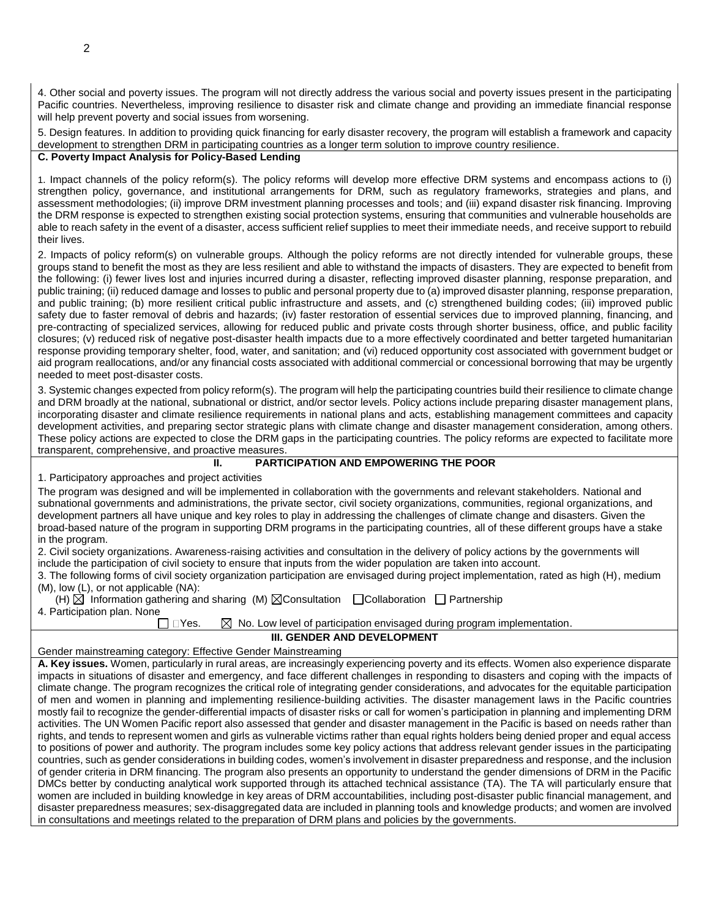4. Other social and poverty issues. The program will not directly address the various social and poverty issues present in the participating Pacific countries. Nevertheless, improving resilience to disaster risk and climate change and providing an immediate financial response will help prevent poverty and social issues from worsening.

5. Design features. In addition to providing quick financing for early disaster recovery, the program will establish a framework and capacity development to strengthen DRM in participating countries as a longer term solution to improve country resilience.

## **C. Poverty Impact Analysis for Policy-Based Lending**

1. Impact channels of the policy reform(s). The policy reforms will develop more effective DRM systems and encompass actions to (i) strengthen policy, governance, and institutional arrangements for DRM, such as regulatory frameworks, strategies and plans, and assessment methodologies; (ii) improve DRM investment planning processes and tools; and (iii) expand disaster risk financing. Improving the DRM response is expected to strengthen existing social protection systems, ensuring that communities and vulnerable households are able to reach safety in the event of a disaster, access sufficient relief supplies to meet their immediate needs, and receive support to rebuild their lives.

2. Impacts of policy reform(s) on vulnerable groups. Although the policy reforms are not directly intended for vulnerable groups, these groups stand to benefit the most as they are less resilient and able to withstand the impacts of disasters. They are expected to benefit from the following: (i) fewer lives lost and injuries incurred during a disaster, reflecting improved disaster planning, response preparation, and public training; (ii) reduced damage and losses to public and personal property due to (a) improved disaster planning, response preparation, and public training; (b) more resilient critical public infrastructure and assets, and (c) strengthened building codes; (iii) improved public safety due to faster removal of debris and hazards; (iv) faster restoration of essential services due to improved planning, financing, and pre-contracting of specialized services, allowing for reduced public and private costs through shorter business, office, and public facility closures; (v) reduced risk of negative post-disaster health impacts due to a more effectively coordinated and better targeted humanitarian response providing temporary shelter, food, water, and sanitation; and (vi) reduced opportunity cost associated with government budget or aid program reallocations, and/or any financial costs associated with additional commercial or concessional borrowing that may be urgently needed to meet post-disaster costs.

3. Systemic changes expected from policy reform(s). The program will help the participating countries build their resilience to climate change and DRM broadly at the national, subnational or district, and/or sector levels. Policy actions include preparing disaster management plans, incorporating disaster and climate resilience requirements in national plans and acts, establishing management committees and capacity development activities, and preparing sector strategic plans with climate change and disaster management consideration, among others. These policy actions are expected to close the DRM gaps in the participating countries. The policy reforms are expected to facilitate more transparent, comprehensive, and proactive measures.

### **II. PARTICIPATION AND EMPOWERING THE POOR**

1. Participatory approaches and project activities

| The program was designed and will be implemented in collaboration with the governments and relevant stakeholders. National and          |
|-----------------------------------------------------------------------------------------------------------------------------------------|
| subnational governments and administrations, the private sector, civil society organizations, communities, regional organizations, and  |
| development partners all have unique and key roles to play in addressing the challenges of climate change and disasters. Given the      |
| broad-based nature of the program in supporting DRM programs in the participating countries, all of these different groups have a stake |
| in the program.                                                                                                                         |

2. Civil society organizations. Awareness-raising activities and consultation in the delivery of policy actions by the governments will include the participation of civil society to ensure that inputs from the wider population are taken into account.

3. The following forms of civil society organization participation are envisaged during project implementation, rated as high (H), medium (M), low (L), or not applicable (NA):

| (H) $\boxtimes$ Information gathering and sharing (M) $\boxtimes$ Consultation $\Box$ Collaboration $\Box$ Partnership |  |  |
|------------------------------------------------------------------------------------------------------------------------|--|--|
| 4. Participation plan. None                                                                                            |  |  |

 $\Box$  Yes.  $\boxtimes$  No. Low level of participation envisaged during program implementation.

## **III. GENDER AND DEVELOPMENT**

#### Gender mainstreaming category: Effective Gender Mainstreaming

**A. Key issues.** Women, particularly in rural areas, are increasingly experiencing poverty and its effects. Women also experience disparate impacts in situations of disaster and emergency, and face different challenges in responding to disasters and coping with the impacts of climate change. The program recognizes the critical role of integrating gender considerations, and advocates for the equitable participation of men and women in planning and implementing resilience-building activities. The disaster management laws in the Pacific countries mostly fail to recognize the gender-differential impacts of disaster risks or call for women's participation in planning and implementing DRM activities. The UN Women Pacific report also assessed that gender and disaster management in the Pacific is based on needs rather than rights, and tends to represent women and girls as vulnerable victims rather than equal rights holders being denied proper and equal access to positions of power and authority. The program includes some key policy actions that address relevant gender issues in the participating countries, such as gender considerations in building codes, women's involvement in disaster preparedness and response, and the inclusion of gender criteria in DRM financing. The program also presents an opportunity to understand the gender dimensions of DRM in the Pacific DMCs better by conducting analytical work supported through its attached technical assistance (TA). The TA will particularly ensure that women are included in building knowledge in key areas of DRM accountabilities, including post-disaster public financial management, and disaster preparedness measures; sex-disaggregated data are included in planning tools and knowledge products; and women are involved in consultations and meetings related to the preparation of DRM plans and policies by the governments.